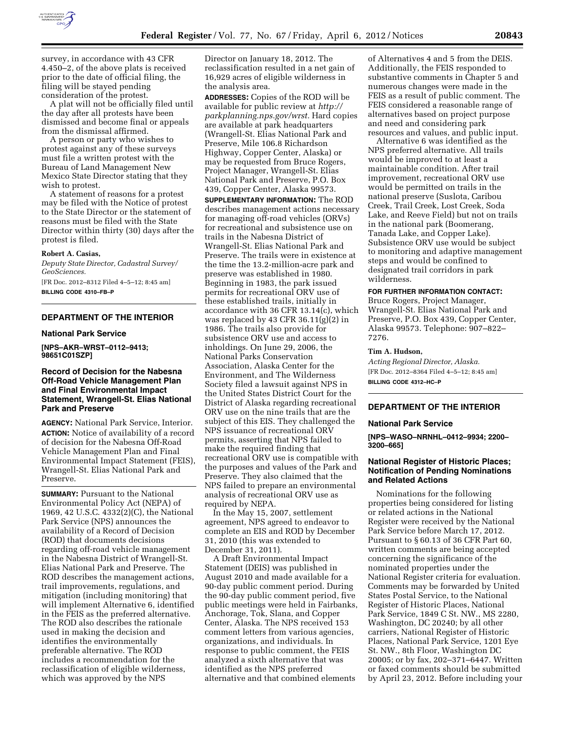

survey, in accordance with 43 CFR 4.450–2, of the above plats is received prior to the date of official filing, the filing will be stayed pending consideration of the protest.

A plat will not be officially filed until the day after all protests have been dismissed and become final or appeals from the dismissal affirmed.

A person or party who wishes to protest against any of these surveys must file a written protest with the Bureau of Land Management New Mexico State Director stating that they wish to protest.

A statement of reasons for a protest may be filed with the Notice of protest to the State Director or the statement of reasons must be filed with the State Director within thirty (30) days after the protest is filed.

#### **Robert A. Casias,**

*Deputy State Director, Cadastral Survey/ GeoSciences.*  [FR Doc. 2012–8312 Filed 4–5–12; 8:45 am]

**BILLING CODE 4310–FB–P** 

## **DEPARTMENT OF THE INTERIOR**

## **National Park Service**

**[NPS–AKR–WRST–0112–9413; 98651C01SZP]** 

# **Record of Decision for the Nabesna Off-Road Vehicle Management Plan and Final Environmental Impact Statement, Wrangell-St. Elias National Park and Preserve**

**AGENCY:** National Park Service, Interior. **ACTION:** Notice of availability of a record of decision for the Nabesna Off-Road Vehicle Management Plan and Final Environmental Impact Statement (FEIS), Wrangell-St. Elias National Park and Preserve.

**SUMMARY: Pursuant to the National** Environmental Policy Act (NEPA) of 1969, 42 U.S.C. 4332(2)(C), the National Park Service (NPS) announces the availability of a Record of Decision (ROD) that documents decisions regarding off-road vehicle management in the Nabesna District of Wrangell-St. Elias National Park and Preserve. The ROD describes the management actions, trail improvements, regulations, and mitigation (including monitoring) that will implement Alternative 6, identified in the FEIS as the preferred alternative. The ROD also describes the rationale used in making the decision and identifies the environmentally preferable alternative. The ROD includes a recommendation for the reclassification of eligible wilderness, which was approved by the NPS

Director on January 18, 2012. The reclassification resulted in a net gain of 16,929 acres of eligible wilderness in the analysis area.

**ADDRESSES:** Copies of the ROD will be available for public review at *[http://](http://parkplanning.nps.gov/wrst) [parkplanning.nps.gov/wrst.](http://parkplanning.nps.gov/wrst)* Hard copies are available at park headquarters (Wrangell-St. Elias National Park and Preserve, Mile 106.8 Richardson Highway, Copper Center, Alaska) or may be requested from Bruce Rogers, Project Manager, Wrangell-St. Elias National Park and Preserve, P.O. Box 439, Copper Center, Alaska 99573.

**SUPPLEMENTARY INFORMATION:** The ROD describes management actions necessary for managing off-road vehicles (ORVs) for recreational and subsistence use on trails in the Nabesna District of Wrangell-St. Elias National Park and Preserve. The trails were in existence at the time the 13.2-million-acre park and preserve was established in 1980. Beginning in 1983, the park issued permits for recreational ORV use of these established trails, initially in accordance with 36 CFR 13.14(c), which was replaced by 43 CFR 36.11(g)(2) in 1986. The trails also provide for subsistence ORV use and access to inholdings. On June 29, 2006, the National Parks Conservation Association, Alaska Center for the Environment, and The Wilderness Society filed a lawsuit against NPS in the United States District Court for the District of Alaska regarding recreational ORV use on the nine trails that are the subject of this EIS. They challenged the NPS issuance of recreational ORV permits, asserting that NPS failed to make the required finding that recreational ORV use is compatible with the purposes and values of the Park and Preserve. They also claimed that the NPS failed to prepare an environmental analysis of recreational ORV use as required by NEPA.

In the May 15, 2007, settlement agreement, NPS agreed to endeavor to complete an EIS and ROD by December 31, 2010 (this was extended to December 31, 2011).

A Draft Environmental Impact Statement (DEIS) was published in August 2010 and made available for a 90-day public comment period. During the 90-day public comment period, five public meetings were held in Fairbanks, Anchorage, Tok, Slana, and Copper Center, Alaska. The NPS received 153 comment letters from various agencies, organizations, and individuals. In response to public comment, the FEIS analyzed a sixth alternative that was identified as the NPS preferred alternative and that combined elements

of Alternatives 4 and 5 from the DEIS. Additionally, the FEIS responded to substantive comments in Chapter 5 and numerous changes were made in the FEIS as a result of public comment. The FEIS considered a reasonable range of alternatives based on project purpose and need and considering park resources and values, and public input.

Alternative 6 was identified as the NPS preferred alternative. All trails would be improved to at least a maintainable condition. After trail improvement, recreational ORV use would be permitted on trails in the national preserve (Suslota, Caribou Creek, Trail Creek, Lost Creek, Soda Lake, and Reeve Field) but not on trails in the national park (Boomerang, Tanada Lake, and Copper Lake). Subsistence ORV use would be subject to monitoring and adaptive management steps and would be confined to designated trail corridors in park wilderness.

# **FOR FURTHER INFORMATION CONTACT:**

Bruce Rogers, Project Manager, Wrangell-St. Elias National Park and Preserve, P.O. Box 439, Copper Center, Alaska 99573. Telephone: 907–822– 7276.

#### **Tim A. Hudson,**

*Acting Regional Director, Alaska.*  [FR Doc. 2012–8364 Filed 4–5–12; 8:45 am] **BILLING CODE 4312–HC–P** 

# **DEPARTMENT OF THE INTERIOR**

#### **National Park Service**

**[NPS–WASO–NRNHL–0412–9934; 2200– 3200–665]** 

# **National Register of Historic Places; Notification of Pending Nominations and Related Actions**

Nominations for the following properties being considered for listing or related actions in the National Register were received by the National Park Service before March 17, 2012. Pursuant to § 60.13 of 36 CFR Part 60, written comments are being accepted concerning the significance of the nominated properties under the National Register criteria for evaluation. Comments may be forwarded by United States Postal Service, to the National Register of Historic Places, National Park Service, 1849 C St. NW., MS 2280, Washington, DC 20240; by all other carriers, National Register of Historic Places, National Park Service, 1201 Eye St. NW., 8th Floor, Washington DC 20005; or by fax, 202–371–6447. Written or faxed comments should be submitted by April 23, 2012. Before including your